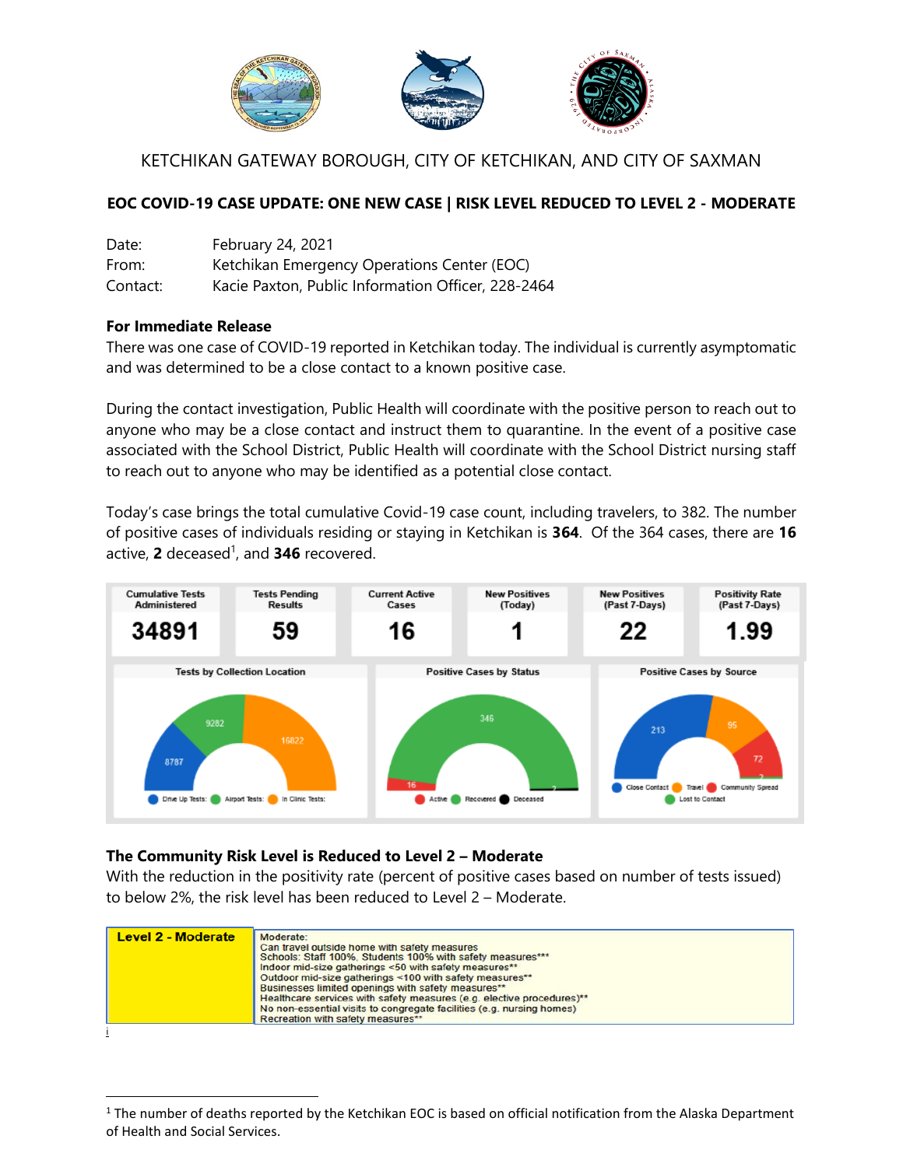

# KETCHIKAN GATEWAY BOROUGH, CITY OF KETCHIKAN, AND CITY OF SAXMAN

### **EOC COVID-19 CASE UPDATE: ONE NEW CASE | RISK LEVEL REDUCED TO LEVEL 2 - MODERATE**

| Date:    | February 24, 2021                                  |
|----------|----------------------------------------------------|
| From:    | Ketchikan Emergency Operations Center (EOC)        |
| Contact: | Kacie Paxton, Public Information Officer, 228-2464 |

### **For Immediate Release**

l

There was one case of COVID-19 reported in Ketchikan today. The individual is currently asymptomatic and was determined to be a close contact to a known positive case.

During the contact investigation, Public Health will coordinate with the positive person to reach out to anyone who may be a close contact and instruct them to quarantine. In the event of a positive case associated with the School District, Public Health will coordinate with the School District nursing staff to reach out to anyone who may be identified as a potential close contact.

Today's case brings the total cumulative Covid-19 case count, including travelers, to 382. The number of positive cases of individuals residing or staying in Ketchikan is **364**. Of the 364 cases, there are **16** active, **2** deceased 1 , and **346** recovered.



#### **The Community Risk Level is Reduced to Level 2 – Moderate**

With the reduction in the positivity rate (percent of positive cases based on number of tests issued) to below 2%, the risk level has been reduced to Level 2 – Moderate.

| <b>Level 2 - Moderate</b> | Moderate:<br>Can travel outside home with safety measures<br>Schools: Staff 100%, Students 100% with safety measures***<br>Indoor mid-size gatherings <50 with safety measures**<br>Outdoor mid-size gatherings <100 with safety measures**<br>Businesses limited openings with safety measures**<br>Healthcare services with safety measures (e.g. elective procedures)**<br>No non-essential visits to congregate facilities (e.g. nursing homes) |
|---------------------------|-----------------------------------------------------------------------------------------------------------------------------------------------------------------------------------------------------------------------------------------------------------------------------------------------------------------------------------------------------------------------------------------------------------------------------------------------------|
|                           | Recreation with safety measures**                                                                                                                                                                                                                                                                                                                                                                                                                   |

 $1$  The number of deaths reported by the Ketchikan EOC is based on official notification from the Alaska Department of Health and Social Services.